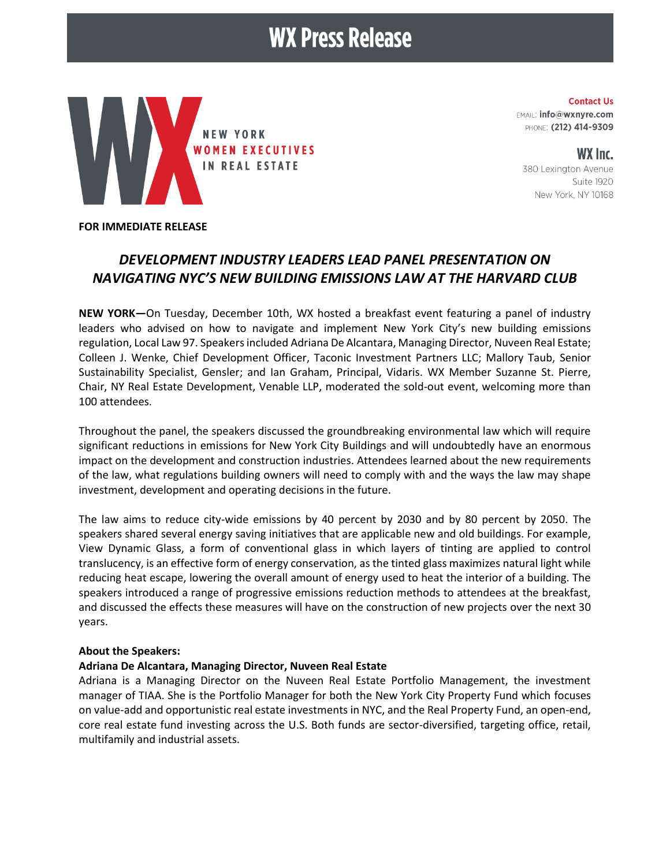# **WX Press Release**



**Contact Us** EMAIL: info@wxnyre.com PHONE: (212) 414-9309

WX Inc. 380 Lexington Avenue Suite 1920 New York, NY 10168

#### **FOR IMMEDIATE RELEASE**

## *DEVELOPMENT INDUSTRY LEADERS LEAD PANEL PRESENTATION ON NAVIGATING NYC'S NEW BUILDING EMISSIONS LAW AT THE HARVARD CLUB*

**NEW YORK—**On Tuesday, December 10th, WX hosted a breakfast event featuring a panel of industry leaders who advised on how to navigate and implement New York City's new building emissions regulation, Local Law 97. Speakers included Adriana De Alcantara, Managing Director, Nuveen Real Estate; Colleen J. Wenke, Chief Development Officer, Taconic Investment Partners LLC; Mallory Taub, Senior Sustainability Specialist, Gensler; and Ian Graham, Principal, Vidaris. WX Member Suzanne St. Pierre, Chair, NY Real Estate Development, Venable LLP, moderated the sold-out event, welcoming more than 100 attendees.

Throughout the panel, the speakers discussed the groundbreaking environmental law which will require significant reductions in emissions for New York City Buildings and will undoubtedly have an enormous impact on the development and construction industries. Attendees learned about the new requirements of the law, what regulations building owners will need to comply with and the ways the law may shape investment, development and operating decisions in the future.

The law aims to reduce city-wide emissions by 40 percent by 2030 and by 80 percent by 2050. The speakers shared several energy saving initiatives that are applicable new and old buildings. For example, View Dynamic Glass, a form of conventional glass in which layers of tinting are applied to control translucency, is an effective form of energy conservation, as the tinted glass maximizes natural light while reducing heat escape, lowering the overall amount of energy used to heat the interior of a building. The speakers introduced a range of progressive emissions reduction methods to attendees at the breakfast, and discussed the effects these measures will have on the construction of new projects over the next 30 years.

#### **About the Speakers:**

#### **Adriana De Alcantara, Managing Director, Nuveen Real Estate**

Adriana is a Managing Director on the Nuveen Real Estate Portfolio Management, the investment manager of TIAA. She is the Portfolio Manager for both the New York City Property Fund which focuses on value-add and opportunistic real estate investments in NYC, and the Real Property Fund, an open-end, core real estate fund investing across the U.S. Both funds are sector-diversified, targeting office, retail, multifamily and industrial assets.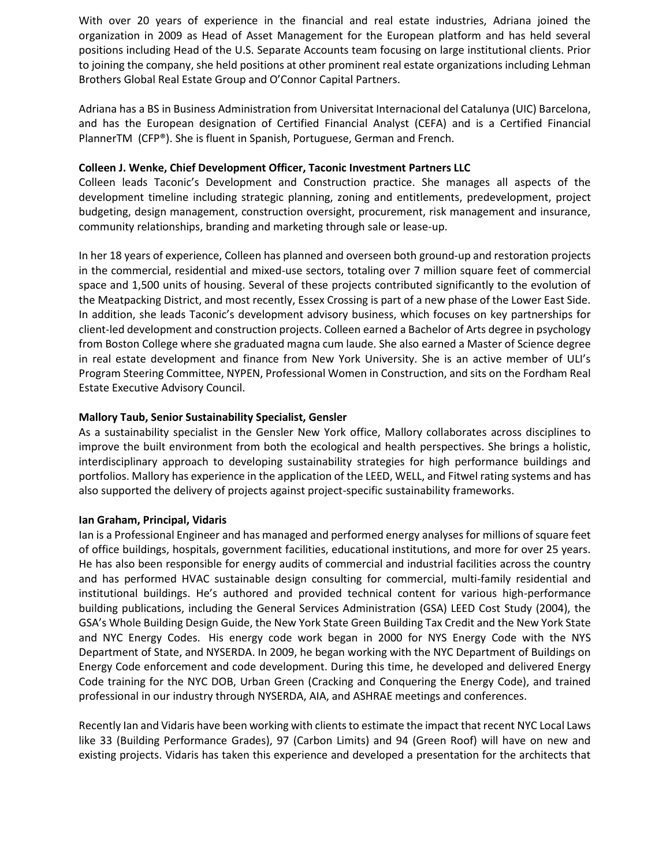With over 20 years of experience in the financial and real estate industries, Adriana joined the organization in 2009 as Head of Asset Management for the European platform and has held several positions including Head of the U.S. Separate Accounts team focusing on large institutional clients. Prior to joining the company, she held positions at other prominent real estate organizations including Lehman Brothers Global Real Estate Group and O'Connor Capital Partners.

Adriana has a BS in Business Administration from Universitat Internacional del Catalunya (UIC) Barcelona, and has the European designation of Certified Financial Analyst (CEFA) and is a Certified Financial PlannerTM (CFP®). She is fluent in Spanish, Portuguese, German and French.

#### **Colleen J. Wenke, Chief Development Officer, Taconic Investment Partners LLC**

Colleen leads Taconic's Development and Construction practice. She manages all aspects of the development timeline including strategic planning, zoning and entitlements, predevelopment, project budgeting, design management, construction oversight, procurement, risk management and insurance, community relationships, branding and marketing through sale or lease-up.

In her 18 years of experience, Colleen has planned and overseen both ground-up and restoration projects in the commercial, residential and mixed-use sectors, totaling over 7 million square feet of commercial space and 1,500 units of housing. Several of these projects contributed significantly to the evolution of the Meatpacking District, and most recently, Essex Crossing is part of a new phase of the Lower East Side. In addition, she leads Taconic's development advisory business, which focuses on key partnerships for client-led development and construction projects. Colleen earned a Bachelor of Arts degree in psychology from Boston College where she graduated magna cum laude. She also earned a Master of Science degree in real estate development and finance from New York University. She is an active member of ULI's Program Steering Committee, NYPEN, Professional Women in Construction, and sits on the Fordham Real Estate Executive Advisory Council.

#### **Mallory Taub, Senior Sustainability Specialist, Gensler**

As a sustainability specialist in the Gensler New York office, Mallory collaborates across disciplines to improve the built environment from both the ecological and health perspectives. She brings a holistic, interdisciplinary approach to developing sustainability strategies for high performance buildings and portfolios. Mallory has experience in the application of the LEED, WELL, and Fitwel rating systems and has also supported the delivery of projects against project-specific sustainability frameworks.

#### **Ian Graham, Principal, Vidaris**

Ian is a Professional Engineer and has managed and performed energy analyses for millions of square feet of office buildings, hospitals, government facilities, educational institutions, and more for over 25 years. He has also been responsible for energy audits of commercial and industrial facilities across the country and has performed HVAC sustainable design consulting for commercial, multi-family residential and institutional buildings. He's authored and provided technical content for various high-performance building publications, including the General Services Administration (GSA) LEED Cost Study (2004), the GSA's Whole Building Design Guide, the New York State Green Building Tax Credit and the New York State and NYC Energy Codes. His energy code work began in 2000 for NYS Energy Code with the NYS Department of State, and NYSERDA. In 2009, he began working with the NYC Department of Buildings on Energy Code enforcement and code development. During this time, he developed and delivered Energy Code training for the NYC DOB, Urban Green (Cracking and Conquering the Energy Code), and trained professional in our industry through NYSERDA, AIA, and ASHRAE meetings and conferences.

Recently Ian and Vidaris have been working with clients to estimate the impact that recent NYC Local Laws like 33 (Building Performance Grades), 97 (Carbon Limits) and 94 (Green Roof) will have on new and existing projects. Vidaris has taken this experience and developed a presentation for the architects that